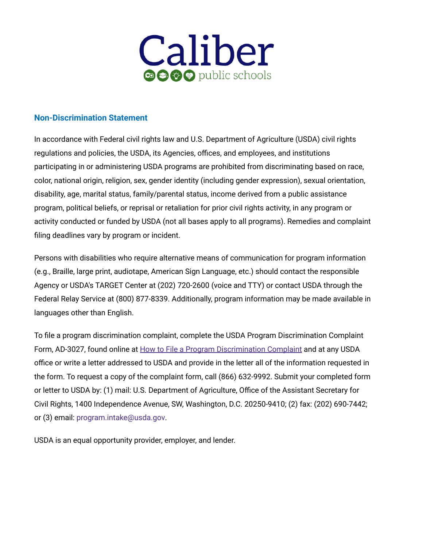

## **Non-Discrimination Statement**

In accordance with Federal civil rights law and U.S. Department of Agriculture (USDA) civil rights regulations and policies, the USDA, its Agencies, offices, and employees, and institutions participating in or administering USDA programs are prohibited from discriminating based on race, color, national origin, religion, sex, gender identity (including gender expression), sexual orientation, disability, age, marital status, family/parental status, income derived from a public assistance program, political beliefs, or reprisal or retaliation for prior civil rights activity, in any program or activity conducted or funded by USDA (not all bases apply to all programs). Remedies and complaint filing deadlines vary by program or incident.

Persons with disabilities who require alternative means of communication for program information (e.g., Braille, large print, audiotape, American Sign Language, etc.) should contact the responsible Agency or USDA's TARGET Center at (202) 720-2600 (voice and TTY) or contact USDA through the Federal Relay Service at (800) 877-8339. Additionally, program information may be made available in languages other than English.

To file a program discrimination complaint, complete the USDA Program Discrimination Complaint Form, AD-3027, found online at How to File a Program [Discrimination](https://www.usda.gov/oascr/how-to-file-a-program-discrimination-complaint) Complaint and at any USDA office or write a letter addressed to USDA and provide in the letter all of the information requested in the form. To request a copy of the complaint form, call (866) 632-9992. Submit your completed form or letter to USDA by: (1) mail: U.S. Department of Agriculture, Office of the Assistant Secretary for Civil Rights, 1400 Independence Avenue, SW, Washington, D.C. 20250-9410; (2) fax: (202) 690-7442; or (3) email: program.intake@usda.gov.

USDA is an equal opportunity provider, employer, and lender.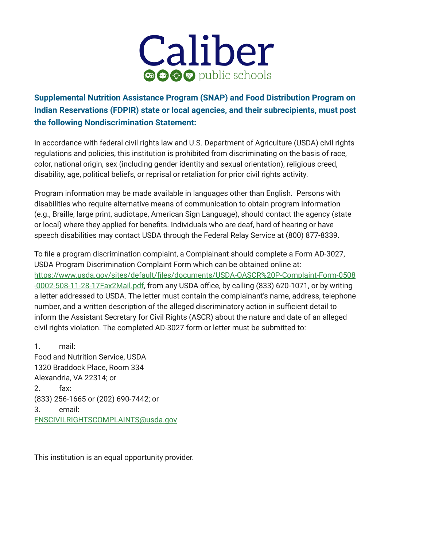

**Supplemental Nutrition Assistance Program (SNAP) and Food Distribution Program on Indian Reservations (FDPIR) state or local agencies, and their subrecipients, must post the following Nondiscrimination Statement:**

In accordance with federal civil rights law and U.S. Department of Agriculture (USDA) civil rights regulations and policies, this institution is prohibited from discriminating on the basis of race, color, national origin, sex (including gender identity and sexual orientation), religious creed, disability, age, political beliefs, or reprisal or retaliation for prior civil rights activity.

Program information may be made available in languages other than English. Persons with disabilities who require alternative means of communication to obtain program information (e.g., Braille, large print, audiotape, American Sign Language), should contact the agency (state or local) where they applied for benefits. Individuals who are deaf, hard of hearing or have speech disabilities may contact USDA through the Federal Relay Service at (800) 877-8339.

To file a program discrimination complaint, a Complainant should complete a Form AD-3027, USDA Program Discrimination Complaint Form which can be obtained online at: [https://www.usda.gov/sites/default/files/documents/USDA-OASCR%20P-Complaint-Form-0508](https://www.usda.gov/sites/default/files/documents/USDA-OASCR%20P-Complaint-Form-0508-0002-508-11-28-17Fax2Mail.pdf) [-0002-508-11-28-17Fax2Mail.pdf](https://www.usda.gov/sites/default/files/documents/USDA-OASCR%20P-Complaint-Form-0508-0002-508-11-28-17Fax2Mail.pdf), from any USDA office, by calling (833) 620-1071, or by writing a letter addressed to USDA. The letter must contain the complainant's name, address, telephone number, and a written description of the alleged discriminatory action in sufficient detail to inform the Assistant Secretary for Civil Rights (ASCR) about the nature and date of an alleged civil rights violation. The completed AD-3027 form or letter must be submitted to:

1. mail: Food and Nutrition Service, USDA 1320 Braddock Place, Room 334 Alexandria, VA 22314; or 2. fax: (833) 256-1665 or (202) 690-7442; or 3. email: [FNSCIVILRIGHTSCOMPLAINTS@usda.gov](http://mailto:FNSCIVILRIGHTSCOMPLAINTS@usda.gov/)

This institution is an equal opportunity provider.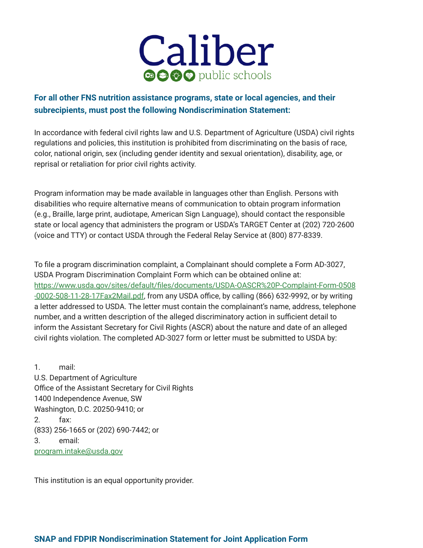

## **For all other FNS nutrition assistance programs, state or local agencies, and their subrecipients, must post the following Nondiscrimination Statement:**

In accordance with federal civil rights law and U.S. Department of Agriculture (USDA) civil rights regulations and policies, this institution is prohibited from discriminating on the basis of race, color, national origin, sex (including gender identity and sexual orientation), disability, age, or reprisal or retaliation for prior civil rights activity.

Program information may be made available in languages other than English. Persons with disabilities who require alternative means of communication to obtain program information (e.g., Braille, large print, audiotape, American Sign Language), should contact the responsible state or local agency that administers the program or USDA's TARGET Center at (202) 720-2600 (voice and TTY) or contact USDA through the Federal Relay Service at (800) 877-8339.

To file a program discrimination complaint, a Complainant should complete a Form AD-3027, USDA Program Discrimination Complaint Form which can be obtained online at: [https://www.usda.gov/sites/default/files/documents/USDA-OASCR%20P-Complaint-Form-0508](https://www.usda.gov/sites/default/files/documents/USDA-OASCR%20P-Complaint-Form-0508-0002-508-11-28-17Fax2Mail.pdf) [-0002-508-11-28-17Fax2Mail.pdf](https://www.usda.gov/sites/default/files/documents/USDA-OASCR%20P-Complaint-Form-0508-0002-508-11-28-17Fax2Mail.pdf), from any USDA office, by calling (866) 632-9992, or by writing a letter addressed to USDA. The letter must contain the complainant's name, address, telephone number, and a written description of the alleged discriminatory action in sufficient detail to inform the Assistant Secretary for Civil Rights (ASCR) about the nature and date of an alleged civil rights violation. The completed AD-3027 form or letter must be submitted to USDA by:

1. mail: U.S. Department of Agriculture Office of the Assistant Secretary for Civil Rights 1400 Independence Avenue, SW Washington, D.C. 20250-9410; or 2. fax: (833) 256-1665 or (202) 690-7442; or 3. email: [program.intake@usda.gov](http://mailto:program.intake@usda.gov/)

This institution is an equal opportunity provider.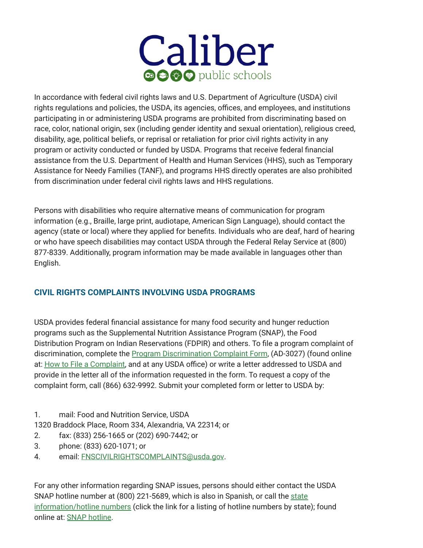

In accordance with federal civil rights laws and U.S. Department of Agriculture (USDA) civil rights regulations and policies, the USDA, its agencies, offices, and employees, and institutions participating in or administering USDA programs are prohibited from discriminating based on race, color, national origin, sex (including gender identity and sexual orientation), religious creed, disability, age, political beliefs, or reprisal or retaliation for prior civil rights activity in any program or activity conducted or funded by USDA. Programs that receive federal financial assistance from the U.S. Department of Health and Human Services (HHS), such as Temporary Assistance for Needy Families (TANF), and programs HHS directly operates are also prohibited from discrimination under federal civil rights laws and HHS regulations.

Persons with disabilities who require alternative means of communication for program information (e.g., Braille, large print, audiotape, American Sign Language), should contact the agency (state or local) where they applied for benefits. Individuals who are deaf, hard of hearing or who have speech disabilities may contact USDA through the Federal Relay Service at (800) 877-8339. Additionally, program information may be made available in languages other than English.

## **CIVIL RIGHTS COMPLAINTS INVOLVING USDA PROGRAMS**

USDA provides federal financial assistance for many food security and hunger reduction programs such as the Supplemental Nutrition Assistance Program (SNAP), the Food Distribution Program on Indian Reservations (FDPIR) and others. To file a program complaint of discrimination, complete the **Program [Discrimination](https://www.usda.gov/sites/default/files/documents/USDA-OASCR%20P-Complaint-Form-0508-0002-508-11-28-17Fax2Mail.pdf) Complaint Form**, (AD-3027) (found online at: How to File a [Complaint,](https://www.usda.gov/sites/default/files/documents/USDA-OASCR%20P-Complaint-Form-0508-0002-508-11-28-17Fax2Mail.pdf) and at any USDA office) or write a letter addressed to USDA and provide in the letter all of the information requested in the form. To request a copy of the complaint form, call (866) 632-9992. Submit your completed form or letter to USDA by:

1. mail: Food and Nutrition Service, USDA

1320 Braddock Place, Room 334, Alexandria, VA 22314; or

- 2. fax: (833) 256-1665 or (202) 690-7442; or
- 3. phone: (833) 620-1071; or
- 4. email: [FNSCIVILRIGHTSCOMPLAINTS@usda.gov](http://mailto:FNSCIVILRIGHTSCOMPLAINTS@usda.gov/).

For any other information regarding SNAP issues, persons should either contact the USDA SNAP hotline number at (800) 221-5689, which is also in Spanish, or call the [state](https://www.fns.usda.gov/snap/state-directory) [information/hotline](https://www.fns.usda.gov/snap/state-directory) numbers (click the link for a listing of hotline numbers by state); found online at: SNAP [hotline](https://www.fns.usda.gov/snap/state-directory).